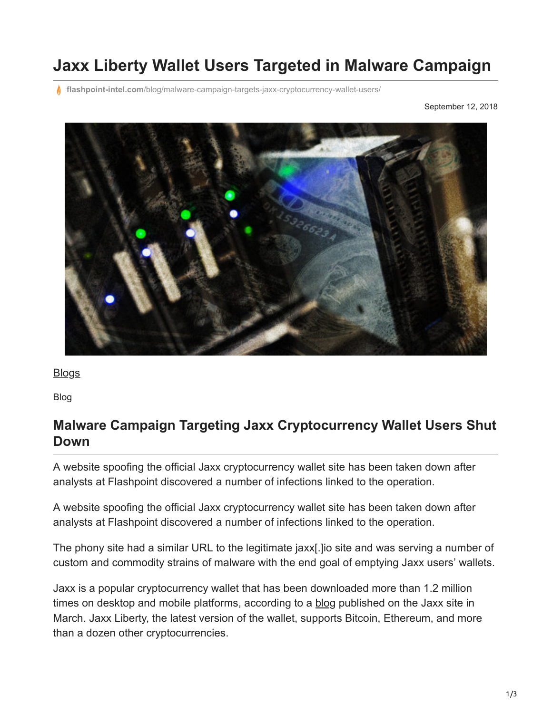# **Jaxx Liberty Wallet Users Targeted in Malware Campaign**

**flashpoint-intel.com**[/blog/malware-campaign-targets-jaxx-cryptocurrency-wallet-users/](https://www.flashpoint-intel.com/blog/malware-campaign-targets-jaxx-cryptocurrency-wallet-users/)

September 12, 2018



**[Blogs](https://www.flashpoint-intel.com/blog)** 

Blog

#### **Malware Campaign Targeting Jaxx Cryptocurrency Wallet Users Shut Down**

A website spoofing the official Jaxx cryptocurrency wallet site has been taken down after analysts at Flashpoint discovered a number of infections linked to the operation.

A website spoofing the official Jaxx cryptocurrency wallet site has been taken down after analysts at Flashpoint discovered a number of infections linked to the operation.

The phony site had a similar URL to the legitimate jaxx[.]io site and was serving a number of custom and commodity strains of malware with the end goal of emptying Jaxx users' wallets.

Jaxx is a popular cryptocurrency wallet that has been downloaded more than 1.2 million times on desktop and mobile platforms, according to a [blog](https://blog.jaxx.io/category/statistics/) published on the Jaxx site in March. Jaxx Liberty, the latest version of the wallet, supports Bitcoin, Ethereum, and more than a dozen other cryptocurrencies.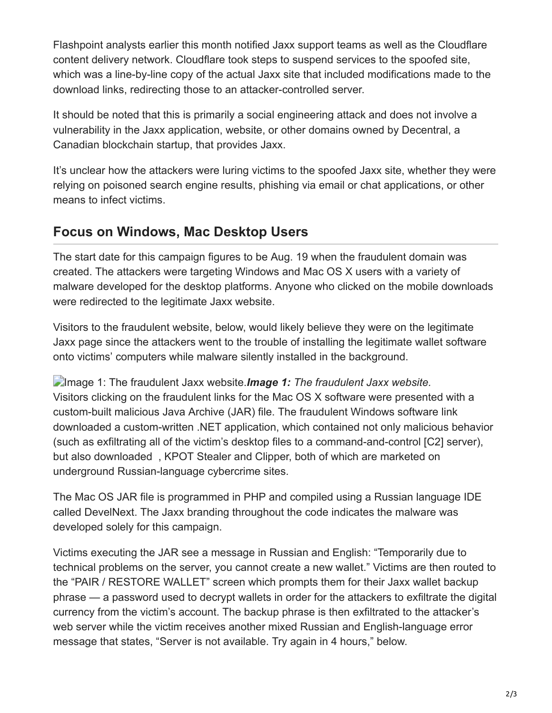Flashpoint analysts earlier this month notified Jaxx support teams as well as the Cloudflare content delivery network. Cloudflare took steps to suspend services to the spoofed site, which was a line-by-line copy of the actual Jaxx site that included modifications made to the download links, redirecting those to an attacker-controlled server.

It should be noted that this is primarily a social engineering attack and does not involve a vulnerability in the Jaxx application, website, or other domains owned by Decentral, a Canadian blockchain startup, that provides Jaxx.

It's unclear how the attackers were luring victims to the spoofed Jaxx site, whether they were relying on poisoned search engine results, phishing via email or chat applications, or other means to infect victims.

### **Focus on Windows, Mac Desktop Users**

The start date for this campaign figures to be Aug. 19 when the fraudulent domain was created. The attackers were targeting Windows and Mac OS X users with a variety of malware developed for the desktop platforms. Anyone who clicked on the mobile downloads were redirected to the legitimate Jaxx website.

Visitors to the fraudulent website, below, would likely believe they were on the legitimate Jaxx page since the attackers went to the trouble of installing the legitimate wallet software onto victims' computers while malware silently installed in the background.

Image 1: The fraudulent Jaxx website.*Image 1: The fraudulent Jaxx website.* Visitors clicking on the fraudulent links for the Mac OS X software were presented with a custom-built malicious Java Archive (JAR) file. The fraudulent Windows software link downloaded a custom-written .NET application, which contained not only malicious behavior (such as exfiltrating all of the victim's desktop files to a command-and-control [C2] server), but also downloaded , KPOT Stealer and Clipper, both of which are marketed on underground Russian-language cybercrime sites.

The Mac OS JAR file is programmed in PHP and compiled using a Russian language IDE called DevelNext. The Jaxx branding throughout the code indicates the malware was developed solely for this campaign.

Victims executing the JAR see a message in Russian and English: "Temporarily due to technical problems on the server, you cannot create a new wallet." Victims are then routed to the "PAIR / RESTORE WALLET" screen which prompts them for their Jaxx wallet backup phrase — a password used to decrypt wallets in order for the attackers to exfiltrate the digital currency from the victim's account. The backup phrase is then exfiltrated to the attacker's web server while the victim receives another mixed Russian and English-language error message that states, "Server is not available. Try again in 4 hours," below.